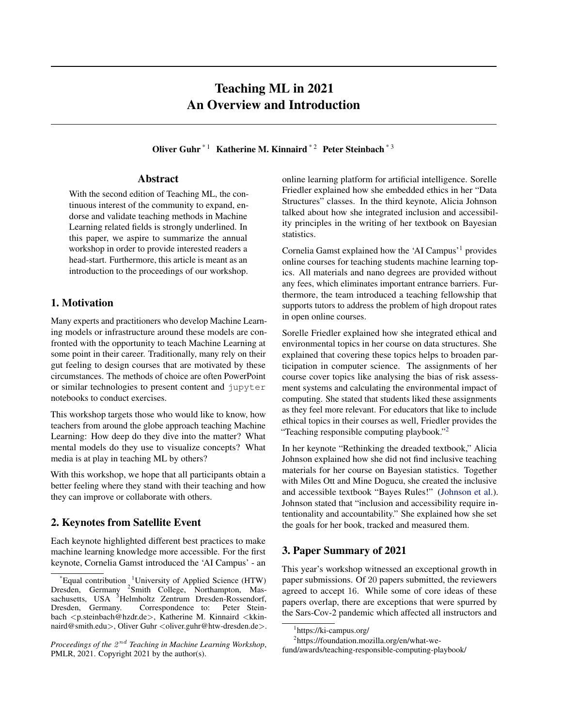# Teaching ML in 2021 An Overview and Introduction

Oliver Guhr<sup>\*1</sup> Katherine M. Kinnaird<sup>\*2</sup> Peter Steinbach<sup>\*3</sup>

#### Abstract

<span id="page-0-0"></span>With the second edition of Teaching ML, the continuous interest of the community to expand, endorse and validate teaching methods in Machine Learning related fields is strongly underlined. In this paper, we aspire to summarize the annual workshop in order to provide interested readers a head-start. Furthermore, this article is meant as an introduction to the proceedings of our workshop.

## 1. Motivation

Many experts and practitioners who develop Machine Learning models or infrastructure around these models are confronted with the opportunity to teach Machine Learning at some point in their career. Traditionally, many rely on their gut feeling to design courses that are motivated by these circumstances. The methods of choice are often PowerPoint or similar technologies to present content and jupyter notebooks to conduct exercises.

This workshop targets those who would like to know, how teachers from around the globe approach teaching Machine Learning: How deep do they dive into the matter? What mental models do they use to visualize concepts? What media is at play in teaching ML by others?

With this workshop, we hope that all participants obtain a better feeling where they stand with their teaching and how they can improve or collaborate with others.

## 2. Keynotes from Satellite Event

Each keynote highlighted different best practices to make machine learning knowledge more accessible. For the first keynote, Cornelia Gamst introduced the 'AI Campus' - an

Proceedings of the  $2^{nd}$  Teaching in Machine Learning Workshop, PMLR, 2021. Copyright 2021 by the author(s).

online learning platform for artificial intelligence. Sorelle Friedler explained how she embedded ethics in her "Data Structures" classes. In the third keynote, Alicia Johnson talked about how she integrated inclusion and accessibility principles in the writing of her textbook on Bayesian statistics.

Cornelia Gamst explained how the 'AI Campus'<sup>1</sup> provides online courses for teaching students machine learning topics. All materials and nano degrees are provided without any fees, which eliminates important entrance barriers. Furthermore, the team introduced a teaching fellowship that supports tutors to address the problem of high dropout rates in open online courses.

Sorelle Friedler explained how she integrated ethical and environmental topics in her course on data structures. She explained that covering these topics helps to broaden participation in computer science. The assignments of her course cover topics like analysing the bias of risk assessment systems and calculating the environmental impact of computing. She stated that students liked these assignments as they feel more relevant. For educators that like to include ethical topics in their courses as well, Friedler provides the "Teaching responsible computing playbook."<sup>2</sup>

In her keynote "Rethinking the dreaded textbook," Alicia Johnson explained how she did not find inclusive teaching materials for her course on Bayesian statistics. Together with Miles Ott and Mine Dogucu, she created the inclusive and accessible textbook "Bayes Rules!" [\(Johnson et al.\)](#page-3-0). Johnson stated that "inclusion and accessibility require intentionality and accountability." She explained how she set the goals for her book, tracked and measured them.

## 3. Paper Summary of 2021

This year's workshop witnessed an exceptional growth in paper submissions. Of 20 papers submitted, the reviewers agreed to accept 16. While some of core ideas of these papers overlap, there are exceptions that were spurred by the Sars-Cov-2 pandemic which affected all instructors and

 $E$ qual contribution  $1$ University of Applied Science (HTW) Dresden, Germany <sup>2</sup>Smith College, Northampton, Massachusetts, USA <sup>3</sup>Helmholtz Zentrum Dresden-Rossendorf, Dresden, Germany. Correspondence to: Peter Steinbach <p.steinbach@hzdr.de>, Katherine M. Kinnaird <kkinnaird@smith.edu>, Oliver Guhr < oliver.guhr@htw-dresden.de>.

<sup>1</sup> https://ki-campus.org/

<sup>&</sup>lt;sup>2</sup>https://foundation.mozilla.org/en/what-we-

fund/awards/teaching-responsible-computing-playbook/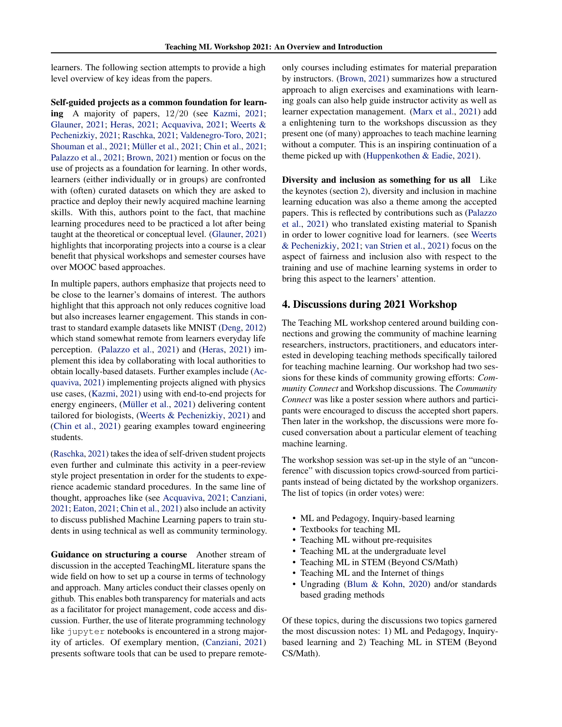learners. The following section attempts to provide a high level overview of key ideas from the papers.

Self-guided projects as a common foundation for learning A majority of papers, 12/20 (see [Kazmi,](#page-3-0) [2021;](#page-3-0) [Glauner,](#page-3-0) [2021;](#page-3-0) [Heras,](#page-3-0) [2021;](#page-3-0) [Acquaviva,](#page-2-0) [2021;](#page-2-0) [Weerts &](#page-3-0) [Pechenizkiy,](#page-3-0) [2021;](#page-3-0) [Raschka,](#page-3-0) [2021;](#page-3-0) [Valdenegro-Toro,](#page-3-0) [2021;](#page-3-0) [Shouman et al.,](#page-3-0) [2021;](#page-2-0) Müller et al., 2021; [Chin et al.,](#page-2-0) 2021; [Palazzo et al.,](#page-3-0) [2021;](#page-3-0) [Brown,](#page-2-0) [2021\)](#page-2-0) mention or focus on the use of projects as a foundation for learning. In other words, learners (either individually or in groups) are confronted with (often) curated datasets on which they are asked to practice and deploy their newly acquired machine learning skills. With this, authors point to the fact, that machine learning procedures need to be practiced a lot after being taught at the theoretical or conceptual level. [\(Glauner,](#page-3-0) [2021\)](#page-3-0) highlights that incorporating projects into a course is a clear benefit that physical workshops and semester courses have over MOOC based approaches.

In multiple papers, authors emphasize that projects need to be close to the learner's domains of interest. The authors highlight that this approach not only reduces cognitive load but also increases learner engagement. This stands in contrast to standard example datasets like MNIST [\(Deng,](#page-2-0) [2012\)](#page-2-0) which stand somewhat remote from learners everyday life perception. [\(Palazzo et al.,](#page-3-0) [2021\)](#page-3-0) and [\(Heras,](#page-3-0) [2021\)](#page-3-0) implement this idea by collaborating with local authorities to obtain locally-based datasets. Further examples include [\(Ac](#page-2-0)[quaviva,](#page-2-0) [2021\)](#page-2-0) implementing projects aligned with physics use cases, [\(Kazmi,](#page-3-0) [2021\)](#page-3-0) using with end-to-end projects for energy engineers, (Müller et al., [2021\)](#page-3-0) delivering content tailored for biologists, [\(Weerts & Pechenizkiy,](#page-3-0) [2021\)](#page-3-0) and [\(Chin et al.,](#page-2-0) [2021\)](#page-2-0) gearing examples toward engineering students.

[\(Raschka,](#page-3-0) [2021\)](#page-3-0) takes the idea of self-driven student projects even further and culminate this activity in a peer-review style project presentation in order for the students to experience academic standard procedures. In the same line of thought, approaches like (see [Acquaviva,](#page-2-0) [2021;](#page-2-0) [Canziani,](#page-2-0) [2021;](#page-2-0) [Eaton,](#page-3-0) [2021;](#page-3-0) [Chin et al.,](#page-2-0) [2021\)](#page-2-0) also include an activity to discuss published Machine Learning papers to train students in using technical as well as community terminology.

Guidance on structuring a course Another stream of discussion in the accepted TeachingML literature spans the wide field on how to set up a course in terms of technology and approach. Many articles conduct their classes openly on github. This enables both transparency for materials and acts as a facilitator for project management, code access and discussion. Further, the use of literate programming technology like jupyter notebooks is encountered in a strong majority of articles. Of exemplary mention, [\(Canziani,](#page-2-0) [2021\)](#page-2-0) presents software tools that can be used to prepare remoteonly courses including estimates for material preparation by instructors. [\(Brown,](#page-2-0) [2021\)](#page-2-0) summarizes how a structured approach to align exercises and examinations with learning goals can also help guide instructor activity as well as learner expectation management. [\(Marx et al.,](#page-3-0) [2021\)](#page-3-0) add a enlightening turn to the workshops discussion as they present one (of many) approaches to teach machine learning without a computer. This is an inspiring continuation of a theme picked up with [\(Huppenkothen & Eadie,](#page-3-0) [2021\)](#page-3-0).

Diversity and inclusion as something for us all Like the keynotes (section [2\)](#page-0-0), diversity and inclusion in machine learning education was also a theme among the accepted papers. This is reflected by contributions such as [\(Palazzo](#page-3-0) [et al.,](#page-3-0) [2021\)](#page-3-0) who translated existing material to Spanish in order to lower cognitive load for learners. (see [Weerts](#page-3-0) [& Pechenizkiy,](#page-3-0) [2021;](#page-3-0) [van Strien et al.,](#page-3-0) [2021\)](#page-3-0) focus on the aspect of fairness and inclusion also with respect to the training and use of machine learning systems in order to bring this aspect to the learners' attention.

#### 4. Discussions during 2021 Workshop

The Teaching ML workshop centered around building connections and growing the community of machine learning researchers, instructors, practitioners, and educators interested in developing teaching methods specifically tailored for teaching machine learning. Our workshop had two sessions for these kinds of community growing efforts: *Community Connect* and Workshop discussions. The *Community Connect* was like a poster session where authors and participants were encouraged to discuss the accepted short papers. Then later in the workshop, the discussions were more focused conversation about a particular element of teaching machine learning.

The workshop session was set-up in the style of an "unconference" with discussion topics crowd-sourced from participants instead of being dictated by the workshop organizers. The list of topics (in order votes) were:

- ML and Pedagogy, Inquiry-based learning
- Textbooks for teaching ML
- Teaching ML without pre-requisites
- Teaching ML at the undergraduate level
- Teaching ML in STEM (Beyond CS/Math)
- Teaching ML and the Internet of things
- Ungrading [\(Blum & Kohn,](#page-2-0) [2020\)](#page-2-0) and/or standards based grading methods

Of these topics, during the discussions two topics garnered the most discussion notes: 1) ML and Pedagogy, Inquirybased learning and 2) Teaching ML in STEM (Beyond CS/Math).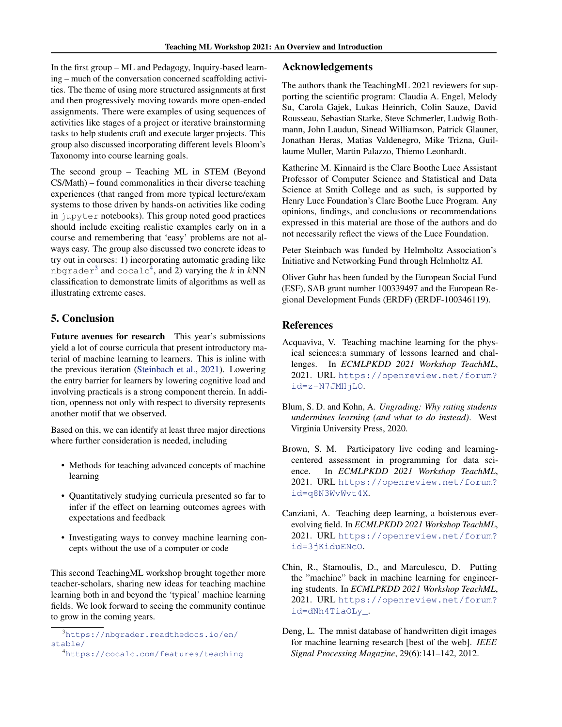<span id="page-2-0"></span>In the first group – ML and Pedagogy, Inquiry-based learning – much of the conversation concerned scaffolding activities. The theme of using more structured assignments at first and then progressively moving towards more open-ended assignments. There were examples of using sequences of activities like stages of a project or iterative brainstorming tasks to help students craft and execute larger projects. This group also discussed incorporating different levels Bloom's Taxonomy into course learning goals.

The second group – Teaching ML in STEM (Beyond CS/Math) – found commonalities in their diverse teaching experiences (that ranged from more typical lecture/exam systems to those driven by hands-on activities like coding in jupyter notebooks). This group noted good practices should include exciting realistic examples early on in a course and remembering that 'easy' problems are not always easy. The group also discussed two concrete ideas to try out in courses: 1) incorporating automatic grading like nbgrader $^3$  and <code>cocalc $^4$ , and 2)</code> varying the  $k$  in  $k{\rm NN}$ classification to demonstrate limits of algorithms as well as illustrating extreme cases.

## 5. Conclusion

Future avenues for research This year's submissions yield a lot of course curricula that present introductory material of machine learning to learners. This is inline with the previous iteration [\(Steinbach et al.,](#page-3-0) [2021\)](#page-3-0). Lowering the entry barrier for learners by lowering cognitive load and involving practicals is a strong component therein. In addition, openness not only with respect to diversity represents another motif that we observed.

Based on this, we can identify at least three major directions where further consideration is needed, including

- Methods for teaching advanced concepts of machine learning
- Quantitatively studying curricula presented so far to infer if the effect on learning outcomes agrees with expectations and feedback
- Investigating ways to convey machine learning concepts without the use of a computer or code

This second TeachingML workshop brought together more teacher-scholars, sharing new ideas for teaching machine learning both in and beyond the 'typical' machine learning fields. We look forward to seeing the community continue to grow in the coming years.

#### Acknowledgements

The authors thank the TeachingML 2021 reviewers for supporting the scientific program: Claudia A. Engel, Melody Su, Carola Gajek, Lukas Heinrich, Colin Sauze, David Rousseau, Sebastian Starke, Steve Schmerler, Ludwig Bothmann, John Laudun, Sinead Williamson, Patrick Glauner, Jonathan Heras, Matias Valdenegro, Mike Trizna, Guillaume Muller, Martin Palazzo, Thiemo Leonhardt.

Katherine M. Kinnaird is the Clare Boothe Luce Assistant Professor of Computer Science and Statistical and Data Science at Smith College and as such, is supported by Henry Luce Foundation's Clare Boothe Luce Program. Any opinions, findings, and conclusions or recommendations expressed in this material are those of the authors and do not necessarily reflect the views of the Luce Foundation.

Peter Steinbach was funded by Helmholtz Association's Initiative and Networking Fund through Helmholtz AI.

Oliver Guhr has been funded by the European Social Fund (ESF), SAB grant number 100339497 and the European Regional Development Funds (ERDF) (ERDF-100346119).

### References

- Acquaviva, V. Teaching machine learning for the physical sciences:a summary of lessons learned and challenges. In *ECMLPKDD 2021 Workshop TeachML*, 2021. URL [https://openreview.net/forum?](https://openreview.net/forum?id=z-N7JMHjLO) [id=z-N7JMHjLO](https://openreview.net/forum?id=z-N7JMHjLO).
- Blum, S. D. and Kohn, A. *Ungrading: Why rating students undermines learning (and what to do instead)*. West Virginia University Press, 2020.
- Brown, S. M. Participatory live coding and learningcentered assessment in programming for data science. In *ECMLPKDD 2021 Workshop TeachML*, 2021. URL [https://openreview.net/forum?](https://openreview.net/forum?id=q8N3WvWvt4X) [id=q8N3WvWvt4X](https://openreview.net/forum?id=q8N3WvWvt4X).
- Canziani, A. Teaching deep learning, a boisterous everevolving field. In *ECMLPKDD 2021 Workshop TeachML*, 2021. URL [https://openreview.net/forum?](https://openreview.net/forum?id=3jKiduENcO) [id=3jKiduENcO](https://openreview.net/forum?id=3jKiduENcO).
- Chin, R., Stamoulis, D., and Marculescu, D. Putting the "machine" back in machine learning for engineering students. In *ECMLPKDD 2021 Workshop TeachML*, 2021. URL [https://openreview.net/forum?](https://openreview.net/forum?id=dNh4TiaOLy_) [id=dNh4TiaOLy\\_](https://openreview.net/forum?id=dNh4TiaOLy_).
- Deng, L. The mnist database of handwritten digit images for machine learning research [best of the web]. *IEEE Signal Processing Magazine*, 29(6):141–142, 2012.

<sup>3</sup>[https://nbgrader.readthedocs.io/en/](https://nbgrader.readthedocs.io/en/stable/) [stable/](https://nbgrader.readthedocs.io/en/stable/)

<sup>4</sup><https://cocalc.com/features/teaching>